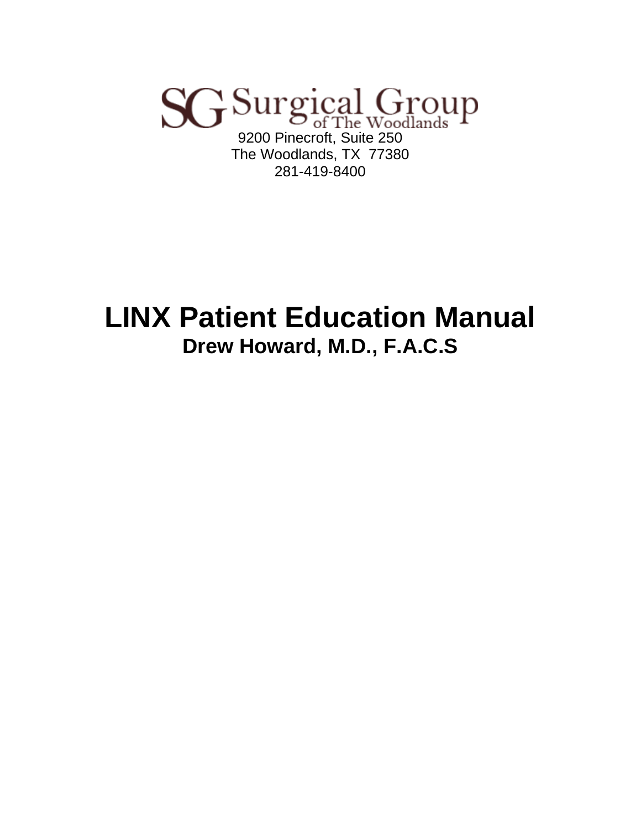# SG Surgical Group The Woodlands, TX 77380 281-419-8400

# **LINX Patient Education Manual Drew Howard, M.D., F.A.C.S**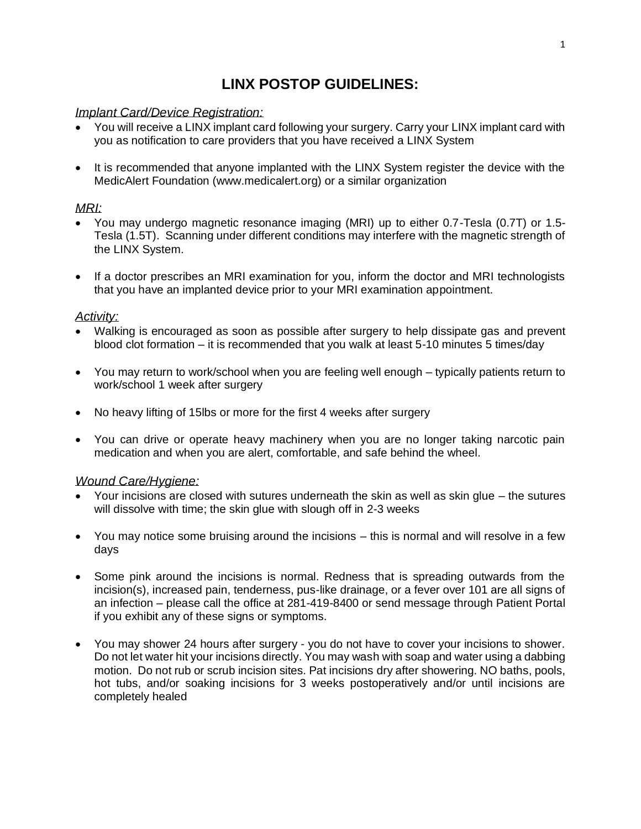# **LINX POSTOP GUIDELINES:**

#### *Implant Card/Device Registration:*

- You will receive a LINX implant card following your surgery. Carry your LINX implant card with you as notification to care providers that you have received a LINX System
- It is recommended that anyone implanted with the LINX System register the device with the MedicAlert Foundation (www.medicalert.org) or a similar organization

#### *MRI:*

- You may undergo magnetic resonance imaging (MRI) up to either 0.7-Tesla (0.7T) or 1.5- Tesla (1.5T). Scanning under different conditions may interfere with the magnetic strength of the LINX System.
- If a doctor prescribes an MRI examination for you, inform the doctor and MRI technologists that you have an implanted device prior to your MRI examination appointment.

#### *Activity:*

- Walking is encouraged as soon as possible after surgery to help dissipate gas and prevent blood clot formation – it is recommended that you walk at least 5-10 minutes 5 times/day
- You may return to work/school when you are feeling well enough typically patients return to work/school 1 week after surgery
- No heavy lifting of 15lbs or more for the first 4 weeks after surgery
- You can drive or operate heavy machinery when you are no longer taking narcotic pain medication and when you are alert, comfortable, and safe behind the wheel.

#### *Wound Care/Hygiene:*

- Your incisions are closed with sutures underneath the skin as well as skin glue the sutures will dissolve with time; the skin glue with slough off in 2-3 weeks
- You may notice some bruising around the incisions this is normal and will resolve in a few days
- Some pink around the incisions is normal. Redness that is spreading outwards from the incision(s), increased pain, tenderness, pus-like drainage, or a fever over 101 are all signs of an infection – please call the office at 281-419-8400 or send message through Patient Portal if you exhibit any of these signs or symptoms.
- You may shower 24 hours after surgery you do not have to cover your incisions to shower. Do not let water hit your incisions directly. You may wash with soap and water using a dabbing motion. Do not rub or scrub incision sites. Pat incisions dry after showering. NO baths, pools, hot tubs, and/or soaking incisions for 3 weeks postoperatively and/or until incisions are completely healed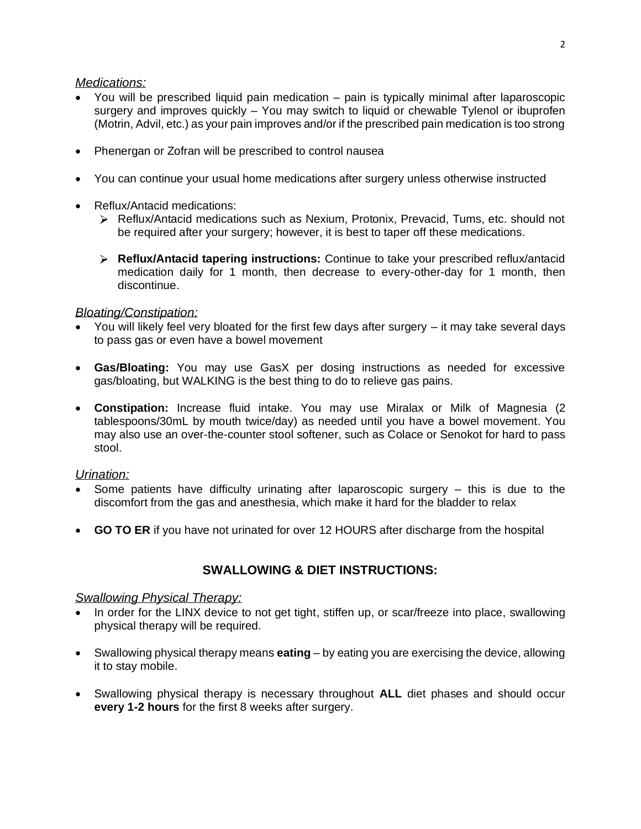#### *Medications:*

- You will be prescribed liquid pain medication pain is typically minimal after laparoscopic surgery and improves quickly – You may switch to liquid or chewable Tylenol or ibuprofen (Motrin, Advil, etc.) as your pain improves and/or if the prescribed pain medication is too strong
- Phenergan or Zofran will be prescribed to control nausea
- You can continue your usual home medications after surgery unless otherwise instructed
- Reflux/Antacid medications:
	- Reflux/Antacid medications such as Nexium, Protonix, Prevacid, Tums, etc. should not be required after your surgery; however, it is best to taper off these medications.
	- **Reflux/Antacid tapering instructions:** Continue to take your prescribed reflux/antacid medication daily for 1 month, then decrease to every-other-day for 1 month, then discontinue.

#### *Bloating/Constipation:*

- You will likely feel very bloated for the first few days after surgery it may take several days to pass gas or even have a bowel movement
- **Gas/Bloating:** You may use GasX per dosing instructions as needed for excessive gas/bloating, but WALKING is the best thing to do to relieve gas pains.
- **Constipation:** Increase fluid intake. You may use Miralax or Milk of Magnesia (2 tablespoons/30mL by mouth twice/day) as needed until you have a bowel movement. You may also use an over-the-counter stool softener, such as Colace or Senokot for hard to pass stool.

#### *Urination:*

- Some patients have difficulty urinating after laparoscopic surgery  $-$  this is due to the discomfort from the gas and anesthesia, which make it hard for the bladder to relax
- **GO TO ER** if you have not urinated for over 12 HOURS after discharge from the hospital

#### **SWALLOWING & DIET INSTRUCTIONS:**

#### *Swallowing Physical Therapy:*

- In order for the LINX device to not get tight, stiffen up, or scar/freeze into place, swallowing physical therapy will be required.
- Swallowing physical therapy means **eating** by eating you are exercising the device, allowing it to stay mobile.
- Swallowing physical therapy is necessary throughout **ALL** diet phases and should occur **every 1-2 hours** for the first 8 weeks after surgery.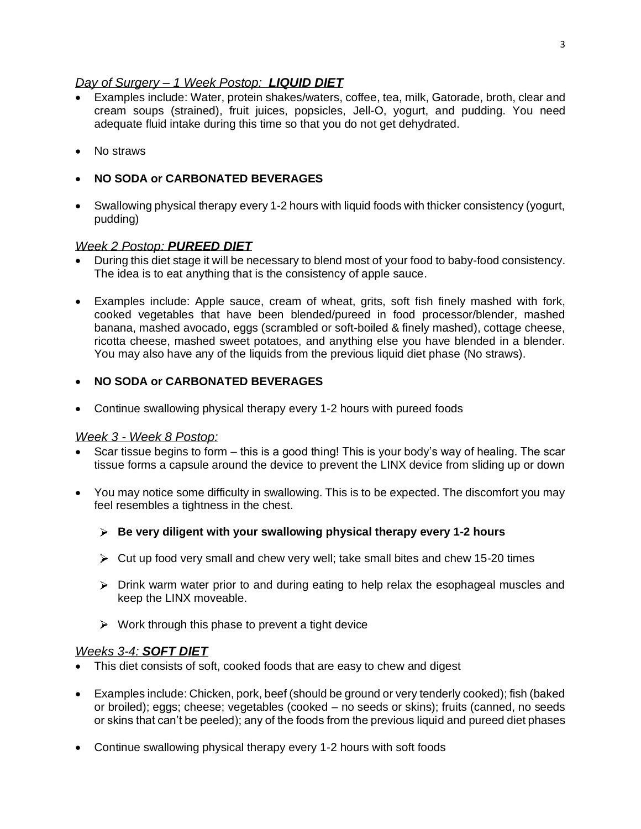#### *Day of Surgery – 1 Week Postop: LIQUID DIET*

- Examples include: Water, protein shakes/waters, coffee, tea, milk, Gatorade, broth, clear and cream soups (strained), fruit juices, popsicles, Jell-O, yogurt, and pudding. You need adequate fluid intake during this time so that you do not get dehydrated.
- No straws
- **NO SODA or CARBONATED BEVERAGES**
- Swallowing physical therapy every 1-2 hours with liquid foods with thicker consistency (yogurt, pudding)

#### *Week 2 Postop: PUREED DIET*

- During this diet stage it will be necessary to blend most of your food to baby-food consistency. The idea is to eat anything that is the consistency of apple sauce.
- Examples include: Apple sauce, cream of wheat, grits, soft fish finely mashed with fork, cooked vegetables that have been blended/pureed in food processor/blender, mashed banana, mashed avocado, eggs (scrambled or soft-boiled & finely mashed), cottage cheese, ricotta cheese, mashed sweet potatoes, and anything else you have blended in a blender. You may also have any of the liquids from the previous liquid diet phase (No straws).

#### • **NO SODA or CARBONATED BEVERAGES**

• Continue swallowing physical therapy every 1-2 hours with pureed foods

#### *Week 3 - Week 8 Postop:*

- Scar tissue begins to form this is a good thing! This is your body's way of healing. The scar tissue forms a capsule around the device to prevent the LINX device from sliding up or down
- You may notice some difficulty in swallowing. This is to be expected. The discomfort you may feel resembles a tightness in the chest.
	- **Be very diligent with your swallowing physical therapy every 1-2 hours**
	- $\triangleright$  Cut up food very small and chew very well; take small bites and chew 15-20 times
	- $\triangleright$  Drink warm water prior to and during eating to help relax the esophageal muscles and keep the LINX moveable.
	- $\triangleright$  Work through this phase to prevent a tight device

#### *Weeks 3-4: SOFT DIET*

- This diet consists of soft, cooked foods that are easy to chew and digest
- Examples include: Chicken, pork, beef (should be ground or very tenderly cooked); fish (baked or broiled); eggs; cheese; vegetables (cooked – no seeds or skins); fruits (canned, no seeds or skins that can't be peeled); any of the foods from the previous liquid and pureed diet phases
- Continue swallowing physical therapy every 1-2 hours with soft foods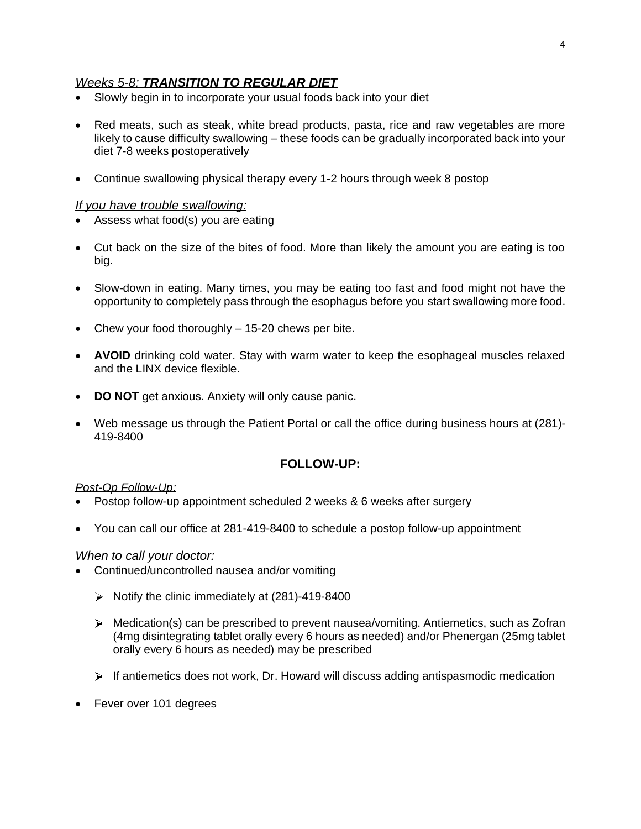#### *Weeks 5-8: TRANSITION TO REGULAR DIET*

- Slowly begin in to incorporate your usual foods back into your diet
- Red meats, such as steak, white bread products, pasta, rice and raw vegetables are more likely to cause difficulty swallowing – these foods can be gradually incorporated back into your diet 7-8 weeks postoperatively
- Continue swallowing physical therapy every 1-2 hours through week 8 postop

#### *If you have trouble swallowing:*

- Assess what food(s) you are eating
- Cut back on the size of the bites of food. More than likely the amount you are eating is too big.
- Slow-down in eating. Many times, you may be eating too fast and food might not have the opportunity to completely pass through the esophagus before you start swallowing more food.
- Chew your food thoroughly 15-20 chews per bite.
- **AVOID** drinking cold water. Stay with warm water to keep the esophageal muscles relaxed and the LINX device flexible.
- **DO NOT** get anxious. Anxiety will only cause panic.
- Web message us through the Patient Portal or call the office during business hours at (281)- 419-8400

#### **FOLLOW-UP:**

#### *Post-Op Follow-Up:*

- Postop follow-up appointment scheduled 2 weeks & 6 weeks after surgery
- You can call our office at 281-419-8400 to schedule a postop follow-up appointment

#### *When to call your doctor:*

- Continued/uncontrolled nausea and/or vomiting
	- $\triangleright$  Notify the clinic immediately at (281)-419-8400
	- $\triangleright$  Medication(s) can be prescribed to prevent nausea/vomiting. Antiemetics, such as Zofran (4mg disintegrating tablet orally every 6 hours as needed) and/or Phenergan (25mg tablet orally every 6 hours as needed) may be prescribed
	- $\triangleright$  If antiemetics does not work, Dr. Howard will discuss adding antispasmodic medication
- Fever over 101 degrees